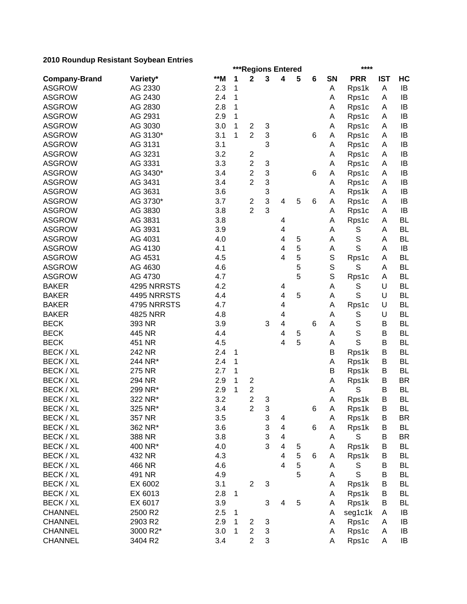|                      | ***Regions Entered<br>**** |     |        |                         |        |                         |   |   |              |             |            |           |
|----------------------|----------------------------|-----|--------|-------------------------|--------|-------------------------|---|---|--------------|-------------|------------|-----------|
| <b>Company-Brand</b> | Variety*                   | **M | 1      | $\mathbf 2$             | 3      | 4                       | 5 | 6 | SN           | <b>PRR</b>  | <b>IST</b> | HC        |
| <b>ASGROW</b>        | AG 2330                    | 2.3 | 1      |                         |        |                         |   |   | Α            | Rps1k       | Α          | IB        |
| <b>ASGROW</b>        | AG 2430                    | 2.4 | 1      |                         |        |                         |   |   | Α            | Rps1c       | A          | IB        |
| <b>ASGROW</b>        | AG 2830                    | 2.8 | 1      |                         |        |                         |   |   | Α            | Rps1c       | A          | IB        |
| <b>ASGROW</b>        | AG 2931                    | 2.9 | 1      |                         |        |                         |   |   | Α            | Rps1c       | A          | IB        |
| <b>ASGROW</b>        | AG 3030                    | 3.0 | 1      | $\overline{c}$          | 3      |                         |   |   | Α            | Rps1c       | A          | IB        |
| <b>ASGROW</b>        | AG 3130*                   | 3.1 | 1      | $\overline{2}$          | 3      |                         |   | 6 | Α            | Rps1c       | Α          | IB        |
| <b>ASGROW</b>        | AG 3131                    | 3.1 |        |                         | 3      |                         |   |   | A            | Rps1c       | A          | IB        |
| <b>ASGROW</b>        | AG 3231                    | 3.2 |        | $\overline{\mathbf{c}}$ |        |                         |   |   | Α            | Rps1c       | A          | IB        |
| <b>ASGROW</b>        | AG 3331                    | 3.3 |        | $\overline{c}$          | 3      |                         |   |   | A            | Rps1c       | A          | IB        |
| <b>ASGROW</b>        | AG 3430*                   | 3.4 |        | $\overline{2}$          | 3      |                         |   | 6 | A            | Rps1c       | A          | IB        |
| <b>ASGROW</b>        | AG 3431                    | 3.4 |        | $\overline{2}$          | 3      |                         |   |   | A            | Rps1c       | A          | IB        |
| <b>ASGROW</b>        | AG 3631                    | 3.6 |        |                         | 3      |                         |   |   | A            | Rps1k       | A          | IB        |
| <b>ASGROW</b>        | AG 3730*                   | 3.7 |        | $\overline{\mathbf{c}}$ | 3      | 4                       | 5 | 6 | A            | Rps1c       | A          | IB        |
| <b>ASGROW</b>        | AG 3830                    | 3.8 |        | $\overline{2}$          | 3      |                         |   |   | A            | Rps1c       | A          | IB        |
| <b>ASGROW</b>        | AG 3831                    | 3.8 |        |                         |        | 4                       |   |   | A            | Rps1c       | A          | <b>BL</b> |
| <b>ASGROW</b>        | AG 3931                    | 3.9 |        |                         |        | 4                       |   |   | A            | S           | Α          | <b>BL</b> |
| <b>ASGROW</b>        | AG 4031                    | 4.0 |        |                         |        | 4                       | 5 |   | A            | $\mathbb S$ | Α          | <b>BL</b> |
| <b>ASGROW</b>        | AG 4130                    | 4.1 |        |                         |        | 4                       | 5 |   | Α            | S           | A          | IB        |
| <b>ASGROW</b>        | AG 4531                    | 4.5 |        |                         |        | 4                       | 5 |   | $\mathsf S$  | Rps1c       | A          | <b>BL</b> |
| <b>ASGROW</b>        | AG 4630                    | 4.6 |        |                         |        |                         | 5 |   | $\mathsf{S}$ | S           | A          | <b>BL</b> |
| <b>ASGROW</b>        | AG 4730                    | 4.7 |        |                         |        |                         | 5 |   | $\mathsf{S}$ | Rps1c       | A          | <b>BL</b> |
| <b>BAKER</b>         | 4295 NRRSTS                | 4.2 |        |                         |        | 4                       |   |   | A            | S           | U          | <b>BL</b> |
| <b>BAKER</b>         | 4495 NRRSTS                | 4.4 |        |                         |        | 4                       | 5 |   | A            | S           | U          | <b>BL</b> |
| <b>BAKER</b>         | 4795 NRRSTS                | 4.7 |        |                         |        | 4                       |   |   | A            | Rps1c       | U          | <b>BL</b> |
| <b>BAKER</b>         | 4825 NRR                   | 4.8 |        |                         |        | 4                       |   |   | Α            | S           | U          | <b>BL</b> |
| <b>BECK</b>          | 393 NR                     | 3.9 |        |                         | 3      | 4                       |   | 6 | A            | $\mathbb S$ | B          | <b>BL</b> |
| <b>BECK</b>          | 445 NR                     | 4.4 |        |                         |        | 4                       | 5 |   | A            | $\mathbf S$ | B          | <b>BL</b> |
| <b>BECK</b>          | 451 NR                     | 4.5 |        |                         |        | 4                       | 5 |   | A            | S           | B          | <b>BL</b> |
| BECK / XL            | 242 NR                     | 2.4 | 1      |                         |        |                         |   |   | B            | Rps1k       | B          | <b>BL</b> |
| BECK / XL            | 244 NR*                    | 2.4 | 1      |                         |        |                         |   |   | Α            | Rps1k       | В          | <b>BL</b> |
| BECK / XL            | 275 NR                     | 2.7 | 1      |                         |        |                         |   |   | B            | Rps1k       | B          | <b>BL</b> |
| BECK / XL            | 294 NR                     | 2.9 | 1      | $\overline{\mathbf{c}}$ |        |                         |   |   | A            | Rps1k       | B          | <b>BR</b> |
| BECK / XL            | 299 NR*                    | 2.9 | 1      | $\overline{\mathbf{c}}$ |        |                         |   |   | A            | S           | B          | <b>BL</b> |
| BECK / XL            | 322 NR*                    | 3.2 |        | $\overline{2}$          | 3      |                         |   |   | A            | Rps1k       | B          | <b>BL</b> |
| BECK / XL            | 325 NR*                    | 3.4 |        | $\overline{\mathbf{c}}$ | 3      |                         |   | 6 | A            | Rps1k       | В          | BL        |
| BECK / XL            | 357 NR                     | 3.5 |        |                         | 3      | 4                       |   |   | A            | Rps1k       | B          | <b>BR</b> |
| BECK / XL            | 362 NR*                    | 3.6 |        |                         | 3      | $\overline{4}$          |   | 6 | Α            | Rps1k       | B          | <b>BL</b> |
| BECK / XL            | 388 NR                     | 3.8 |        |                         | 3      | $\overline{\mathbf{4}}$ |   |   | Α            | S           | B          | <b>BR</b> |
| BECK / XL            | 400 NR*                    | 4.0 |        |                         | 3      | 4                       | 5 |   | Α            | Rps1k       | B          | <b>BL</b> |
| BECK / XL            | 432 NR                     | 4.3 |        |                         |        | 4                       | 5 | 6 | Α            | Rps1k       | B          | <b>BL</b> |
| BECK / XL            | 466 NR                     | 4.6 |        |                         |        | $\overline{\mathbf{4}}$ | 5 |   | A            | S           | B          | <b>BL</b> |
| BECK / XL            | 491 NR                     | 4.9 |        |                         |        |                         | 5 |   | Α            | $\mathbb S$ | B          | BL        |
| BECK / XL            | EX 6002                    | 3.1 |        | $\overline{2}$          | 3      |                         |   |   | Α            | Rps1k       | B          | <b>BL</b> |
| BECK / XL            | EX 6013                    | 2.8 | 1      |                         |        |                         |   |   | Α            | Rps1k       | B          | BL        |
| BECK / XL            | EX 6017                    | 3.9 |        |                         | 3      | 4                       | 5 |   | Α            | Rps1k       | B          | <b>BL</b> |
| <b>CHANNEL</b>       | 2500 R2                    | 2.5 |        |                         |        |                         |   |   | Α            | seg1c1k     | A          | IB        |
| <b>CHANNEL</b>       | 2903 R2                    | 2.9 | 1      |                         |        |                         |   |   | Α            |             |            |           |
|                      |                            | 3.0 | 1<br>1 | 2<br>$\overline{2}$     | 3<br>3 |                         |   |   |              | Rps1c       | A<br>A     | IB        |
| <b>CHANNEL</b>       | 3000 R2*                   |     |        |                         |        |                         |   |   | Α            | Rps1c       |            | IB        |
| <b>CHANNEL</b>       | 3404 R2                    | 3.4 |        | $\overline{2}$          | 3      |                         |   |   | A            | Rps1c       | Α          | IB        |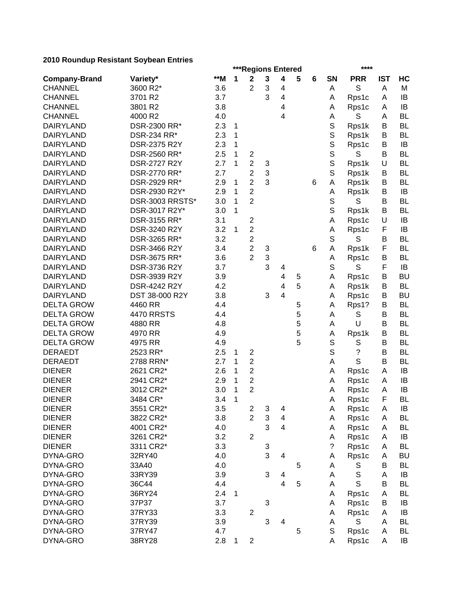|                      | ***Regions Entered<br>**** |       |        |                                             |   |                |   |   |                      |              |            |           |
|----------------------|----------------------------|-------|--------|---------------------------------------------|---|----------------|---|---|----------------------|--------------|------------|-----------|
| <b>Company-Brand</b> | Variety*                   | $**M$ | 1      | $\boldsymbol{2}$                            | 3 | 4              | 5 | 6 | SN                   | <b>PRR</b>   | <b>IST</b> | HC        |
| <b>CHANNEL</b>       | 3600 R2*                   | 3.6   |        | $\overline{2}$                              | 3 | 4              |   |   | A                    | S            | A          | М         |
| <b>CHANNEL</b>       | 3701 R2                    | 3.7   |        |                                             | 3 | 4              |   |   | Α                    | Rps1c        | Α          | IB        |
| <b>CHANNEL</b>       | 3801 R2                    | 3.8   |        |                                             |   | 4              |   |   | A                    | Rps1c        | A          | IB        |
| <b>CHANNEL</b>       | 4000 R2                    | 4.0   |        |                                             |   | 4              |   |   | А                    | S            | A          | <b>BL</b> |
| <b>DAIRYLAND</b>     | DSR-2300 RR*               | 2.3   | 1      |                                             |   |                |   |   | $\mathbb S$          | Rps1k        | В          | <b>BL</b> |
| <b>DAIRYLAND</b>     | DSR-234 RR*                | 2.3   | 1      |                                             |   |                |   |   | $\mathbb S$          | Rps1k        | B          | <b>BL</b> |
| <b>DAIRYLAND</b>     | DSR-2375 R2Y               | 2.3   | 1      |                                             |   |                |   |   | $\mathsf S$          | Rps1c        | B          | IB        |
| <b>DAIRYLAND</b>     | DSR-2560 RR*               | 2.5   | 1      | $\overline{\mathbf{c}}$                     |   |                |   |   | S                    | S            | В          | <b>BL</b> |
| <b>DAIRYLAND</b>     | <b>DSR-2727 R2Y</b>        | 2.7   | 1      | $\overline{2}$                              | 3 |                |   |   | $\mathsf S$          | Rps1k        | U          | <b>BL</b> |
| <b>DAIRYLAND</b>     | DSR-2770 RR*               | 2.7   |        | $\overline{2}$                              | 3 |                |   |   | $\mathbb S$          | Rps1k        | B          | <b>BL</b> |
| <b>DAIRYLAND</b>     | DSR-2929 RR*               | 2.9   | 1      | $\overline{2}$                              | 3 |                |   | 6 | A                    | Rps1k        | B          | <b>BL</b> |
| <b>DAIRYLAND</b>     | DSR-2930 R2Y*              | 2.9   | 1      | 2                                           |   |                |   |   | A                    | Rps1k        | B          | IB        |
| <b>DAIRYLAND</b>     | DSR-3003 RRSTS*            | 3.0   | 1      | $\overline{2}$                              |   |                |   |   | S                    | S            | B          | <b>BL</b> |
| <b>DAIRYLAND</b>     | DSR-3017 R2Y*              | 3.0   | 1      |                                             |   |                |   |   | S                    | Rps1k        | В          | <b>BL</b> |
| <b>DAIRYLAND</b>     | DSR-3155 RR*               | 3.1   |        | $\boldsymbol{2}$                            |   |                |   |   | Α                    | Rps1c        | U          | IB        |
| <b>DAIRYLAND</b>     | DSR-3240 R2Y               | 3.2   | 1      | $\mathbf 2$                                 |   |                |   |   | A                    | Rps1c        | F          | IB        |
| <b>DAIRYLAND</b>     | DSR-3265 RR*               | 3.2   |        | $\overline{c}$                              |   |                |   |   | $\mathsf S$          | S            | B          | <b>BL</b> |
| <b>DAIRYLAND</b>     | <b>DSR-3466 R2Y</b>        | 3.4   |        | $\overline{2}$                              | 3 |                |   | 6 | А                    | Rps1k        | F          | <b>BL</b> |
| <b>DAIRYLAND</b>     | DSR-3675 RR*               | 3.6   |        | $\overline{2}$                              | 3 |                |   |   | A                    | Rps1c        | B          | <b>BL</b> |
| <b>DAIRYLAND</b>     | DSR-3736 R2Y               | 3.7   |        |                                             | 3 | 4              |   |   | S                    | S            | F          | IB        |
| <b>DAIRYLAND</b>     | DSR-3939 R2Y               | 3.9   |        |                                             |   | 4              | 5 |   | Α                    | Rps1c        | В          | <b>BU</b> |
| <b>DAIRYLAND</b>     | DSR-4242 R2Y               | 4.2   |        |                                             |   | 4              | 5 |   | A                    | Rps1k        | B          | <b>BL</b> |
| <b>DAIRYLAND</b>     | DST 38-000 R2Y             | 3.8   |        |                                             | 3 | $\overline{4}$ |   |   | A                    | Rps1c        | B          | <b>BU</b> |
| <b>DELTA GROW</b>    | 4460 RR                    | 4.4   |        |                                             |   |                | 5 |   | Α                    | Rps1?        | B          | <b>BL</b> |
| <b>DELTA GROW</b>    | <b>4470 RRSTS</b>          | 4.4   |        |                                             |   |                | 5 |   | Α                    | S            | B          | <b>BL</b> |
| <b>DELTA GROW</b>    | 4880 RR                    | 4.8   |        |                                             |   |                | 5 |   | Α                    | U            | B          | <b>BL</b> |
| <b>DELTA GROW</b>    | 4970 RR                    | 4.9   |        |                                             |   |                | 5 |   |                      | Rps1k        | В          | <b>BL</b> |
| <b>DELTA GROW</b>    | 4975 RR                    | 4.9   |        |                                             |   |                | 5 |   | A<br>S               | S            | B          | <b>BL</b> |
| <b>DERAEDT</b>       | 2523 RR*                   | 2.5   |        |                                             |   |                |   |   | S                    | ?            | B          | <b>BL</b> |
| <b>DERAEDT</b>       | 2788 RRN*                  | 2.7   | 1<br>1 | $\overline{\mathbf{c}}$<br>$\boldsymbol{2}$ |   |                |   |   | Α                    | S            | B          | <b>BL</b> |
| <b>DIENER</b>        | 2621 CR2*                  | 2.6   | 1      | $\overline{2}$                              |   |                |   |   |                      |              | Α          | IB        |
| <b>DIENER</b>        | 2941 CR2*                  | 2.9   | 1      |                                             |   |                |   |   | A                    | Rps1c        |            | IB        |
|                      |                            |       | 1      | $\overline{\mathbf{c}}$<br>$\overline{2}$   |   |                |   |   | A                    | Rps1c        | A          | IB        |
| <b>DIENER</b>        | 3012 CR2*                  | 3.0   |        |                                             |   |                |   |   | Α                    | Rps1c        | A          |           |
| <b>DIENER</b>        | 3484 CR*                   | 3.4   | 1      |                                             |   |                |   |   | Α                    | Rps1c        | F          | <b>BL</b> |
| <b>DIENER</b>        | 3551 CR2*                  | 3.5   |        | 2                                           | 3 | $\overline{4}$ |   |   | A                    | Rps1c        | A          | $\sf IB$  |
| <b>DIENER</b>        | 3822 CR2*                  | 3.8   |        | $\overline{2}$                              | 3 | $\overline{4}$ |   |   | Α                    | Rps1c        | Α          | BL        |
| <b>DIENER</b>        | 4001 CR2*                  | 4.0   |        |                                             | 3 | 4              |   |   | Α                    | Rps1c        | Α          | <b>BL</b> |
| <b>DIENER</b>        | 3261 CR2*                  | 3.2   |        | $\overline{2}$                              |   |                |   |   | А                    | Rps1c        | Α          | IB        |
| <b>DIENER</b>        | 3311 CR2*                  | 3.3   |        |                                             | 3 |                |   |   | $\ddot{\phantom{0}}$ | Rps1c        | Α          | <b>BL</b> |
| DYNA-GRO             | 32RY40                     | 4.0   |        |                                             | 3 | 4              |   |   | A                    | Rps1c        | Α          | <b>BU</b> |
| DYNA-GRO             | 33A40                      | 4.0   |        |                                             |   |                | 5 |   | Α                    | S            | В          | BL        |
| DYNA-GRO             | 33RY39                     | 3.9   |        |                                             | 3 | 4              |   |   | A                    | $\mathbb S$  | Α          | IB        |
| DYNA-GRO             | 36C44                      | 4.4   |        |                                             |   | $\overline{4}$ | 5 |   | Α                    | $\mathsf{S}$ | B          | <b>BL</b> |
| DYNA-GRO             | 36RY24                     | 2.4   | 1      |                                             |   |                |   |   | Α                    | Rps1c        | A          | <b>BL</b> |
| DYNA-GRO             | 37P37                      | 3.7   |        |                                             | 3 |                |   |   | A                    | Rps1c        | B          | IB        |
| DYNA-GRO             | 37RY33                     | 3.3   |        | $\boldsymbol{2}$                            |   |                |   |   | Α                    | Rps1c        | Α          | IB        |
| DYNA-GRO             | 37RY39                     | 3.9   |        |                                             | 3 | 4              |   |   | A                    | $\mathbb S$  | A          | <b>BL</b> |
| DYNA-GRO             | 37RY47                     | 4.7   |        |                                             |   |                | 5 |   | $\mathbb S$          | Rps1c        | A          | <b>BL</b> |
| DYNA-GRO             | 38RY28                     | 2.8   | 1      | $\boldsymbol{2}$                            |   |                |   |   | Α                    | Rps1c        | A          | IB        |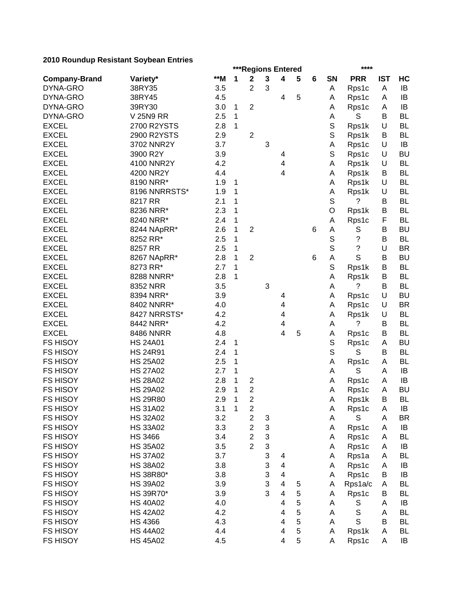|                      | ***Regions Entered |     |              |                                    |                           |                         |   |   |             |             |            |           |
|----------------------|--------------------|-----|--------------|------------------------------------|---------------------------|-------------------------|---|---|-------------|-------------|------------|-----------|
| <b>Company-Brand</b> | Variety*           | **M | 1            | $\mathbf 2$                        | 3                         | 4                       | 5 | 6 | <b>SN</b>   | <b>PRR</b>  | <b>IST</b> | HC        |
| DYNA-GRO             | 38RY35             | 3.5 |              | 2                                  | 3                         |                         |   |   | Α           | Rps1c       | A          | IB        |
| DYNA-GRO             | 38RY45             | 4.5 |              |                                    |                           | 4                       | 5 |   | Α           | Rps1c       | A          | IB        |
| DYNA-GRO             | 39RY30             | 3.0 | 1            | $\overline{2}$                     |                           |                         |   |   | Α           | Rps1c       | Α          | IB        |
| DYNA-GRO             | <b>V 25N9 RR</b>   | 2.5 | 1            |                                    |                           |                         |   |   | А           | S           | B          | <b>BL</b> |
| <b>EXCEL</b>         | 2700 R2YSTS        | 2.8 | 1            |                                    |                           |                         |   |   | $\mathbb S$ | Rps1k       | U          | <b>BL</b> |
| <b>EXCEL</b>         | 2900 R2YSTS        | 2.9 |              | $\boldsymbol{2}$                   |                           |                         |   |   | $\mathbb S$ | Rps1k       | B          | <b>BL</b> |
| <b>EXCEL</b>         | 3702 NNR2Y         | 3.7 |              |                                    | 3                         |                         |   |   | Α           | Rps1c       | U          | IB        |
| <b>EXCEL</b>         | 3900 R2Y           | 3.9 |              |                                    |                           | 4                       |   |   | S           | Rps1c       | U          | <b>BU</b> |
| <b>EXCEL</b>         | 4100 NNR2Y         | 4.2 |              |                                    |                           | $\overline{\mathbf{4}}$ |   |   | Α           | Rps1k       | U          | <b>BL</b> |
| <b>EXCEL</b>         | 4200 NR2Y          | 4.4 |              |                                    |                           | 4                       |   |   | Α           | Rps1k       | B          | <b>BL</b> |
| <b>EXCEL</b>         | 8190 NRR*          | 1.9 | 1            |                                    |                           |                         |   |   | A           | Rps1k       | U          | <b>BL</b> |
| <b>EXCEL</b>         | 8196 NNRRSTS*      | 1.9 | 1            |                                    |                           |                         |   |   | A           | Rps1k       | U          | <b>BL</b> |
| <b>EXCEL</b>         | 8217 RR            | 2.1 | 1            |                                    |                           |                         |   |   | S           | ?           | В          | <b>BL</b> |
| <b>EXCEL</b>         | 8236 NRR*          | 2.3 | 1            |                                    |                           |                         |   |   | O           | Rps1k       | B          | <b>BL</b> |
| <b>EXCEL</b>         | 8240 NRR*          | 2.4 | 1            |                                    |                           |                         |   |   | Α           | Rps1c       | F          | <b>BL</b> |
| <b>EXCEL</b>         | 8244 NApRR*        | 2.6 | 1            | $\overline{2}$                     |                           |                         |   | 6 | A           | S           | B          | <b>BU</b> |
| <b>EXCEL</b>         | 8252 RR*           | 2.5 | 1            |                                    |                           |                         |   |   | $\mathbb S$ | ?           | B          | <b>BL</b> |
| <b>EXCEL</b>         | 8257 RR            | 2.5 | 1            |                                    |                           |                         |   |   | $\mathbb S$ | ?           | U          | <b>BR</b> |
| <b>EXCEL</b>         | 8267 NApRR*        | 2.8 | 1            | $\overline{2}$                     |                           |                         |   | 6 | А           | S           | B          | <b>BU</b> |
| <b>EXCEL</b>         | 8273 RR*           | 2.7 | 1            |                                    |                           |                         |   |   | $\mathbb S$ | Rps1k       | B          | <b>BL</b> |
| <b>EXCEL</b>         | 8288 NNRR*         | 2.8 | 1            |                                    |                           |                         |   |   | Α           | Rps1k       | B          | <b>BL</b> |
| <b>EXCEL</b>         | 8352 NRR           | 3.5 |              |                                    | $\mathbf{3}$              |                         |   |   | Α           | ?           | B          | <b>BL</b> |
| <b>EXCEL</b>         | 8394 NRR*          | 3.9 |              |                                    |                           | 4                       |   |   | Α           | Rps1c       | U          | <b>BU</b> |
| <b>EXCEL</b>         | 8402 NNRR*         | 4.0 |              |                                    |                           | 4                       |   |   | Α           | Rps1c       | U          | <b>BR</b> |
| <b>EXCEL</b>         | 8427 NRRSTS*       | 4.2 |              |                                    |                           | 4                       |   |   | Α           | Rps1k       | U          | <b>BL</b> |
| <b>EXCEL</b>         | 8442 NRR*          | 4.2 |              |                                    |                           | 4                       |   |   | А           | ?           | B          | <b>BL</b> |
| <b>EXCEL</b>         | <b>8486 NNRR</b>   | 4.8 |              |                                    |                           | 4                       | 5 |   | Α           | Rps1c       | В          | <b>BL</b> |
| <b>FS HISOY</b>      | <b>HS 24A01</b>    | 2.4 | 1            |                                    |                           |                         |   |   | S           | Rps1c       | A          | <b>BU</b> |
| <b>FS HISOY</b>      | <b>HS 24R91</b>    | 2.4 | 1            |                                    |                           |                         |   |   | S           | S           | B          | <b>BL</b> |
| <b>FS HISOY</b>      | <b>HS 25A02</b>    | 2.5 | 1            |                                    |                           |                         |   |   | Α           |             | A          | <b>BL</b> |
| <b>FS HISOY</b>      | <b>HS 27A02</b>    | 2.7 | 1            |                                    |                           |                         |   |   | Α           | Rps1c<br>S  | A          | IB        |
| <b>FS HISOY</b>      | <b>HS 28A02</b>    |     | 1            |                                    |                           |                         |   |   |             |             | A          | IB        |
|                      |                    | 2.8 |              | $\overline{\mathbf{c}}$            |                           |                         |   |   | A           | Rps1c       |            |           |
| <b>FS HISOY</b>      | <b>HS 29A02</b>    | 2.9 | 1            | $\boldsymbol{2}$<br>$\overline{2}$ |                           |                         |   |   | A           | Rps1c       | A          | <b>BU</b> |
| <b>FS HISOY</b>      | <b>HS 29R80</b>    | 2.9 | 1            |                                    |                           |                         |   |   | Α           | Rps1k       | B          | <b>BL</b> |
| FS HISOY             | <b>HS 31A02</b>    | 3.1 | $\mathbf{1}$ | $\boldsymbol{2}$                   |                           |                         |   |   | A           | Rps1c       | A          | IB        |
| <b>FS HISOY</b>      | <b>HS 32A02</b>    | 3.2 |              | $\overline{c}$                     | $\ensuremath{\mathsf{3}}$ |                         |   |   | Α           | S           | A          | <b>BR</b> |
| <b>FS HISOY</b>      | <b>HS 33A02</b>    | 3.3 |              | $\boldsymbol{2}$                   | 3                         |                         |   |   | Α           | Rps1c       | Α          | IB        |
| <b>FS HISOY</b>      | <b>HS 3466</b>     | 3.4 |              | $\overline{2}$                     | 3                         |                         |   |   | Α           | Rps1c       | Α          | <b>BL</b> |
| <b>FS HISOY</b>      | <b>HS 35A02</b>    | 3.5 |              | $\overline{2}$                     | 3                         |                         |   |   | Α           | Rps1c       | Α          | IB        |
| <b>FS HISOY</b>      | <b>HS 37A02</b>    | 3.7 |              |                                    | 3                         | 4                       |   |   | Α           | Rps1a       | Α          | BL        |
| <b>FS HISOY</b>      | <b>HS 38A02</b>    | 3.8 |              |                                    | 3                         | 4                       |   |   | Α           | Rps1c       | Α          | IB        |
| <b>FS HISOY</b>      | HS 38R80*          | 3.8 |              |                                    | 3                         | 4                       |   |   | Α           | Rps1c       | B          | IB        |
| <b>FS HISOY</b>      | <b>HS 39A02</b>    | 3.9 |              |                                    | 3                         | 4                       | 5 |   | Α           | Rps1a/c     | Α          | <b>BL</b> |
| <b>FS HISOY</b>      | HS 39R70*          | 3.9 |              |                                    | 3                         | 4                       | 5 |   | Α           | Rps1c       | В          | <b>BL</b> |
| <b>FS HISOY</b>      | <b>HS 40A02</b>    | 4.0 |              |                                    |                           | 4                       | 5 |   | Α           | S           | A          | IB        |
| <b>FS HISOY</b>      | <b>HS 42A02</b>    | 4.2 |              |                                    |                           | 4                       | 5 |   | Α           | S           | Α          | <b>BL</b> |
| <b>FS HISOY</b>      | <b>HS 4366</b>     | 4.3 |              |                                    |                           | 4                       | 5 |   | А           | $\mathsf S$ | B          | <b>BL</b> |
| <b>FS HISOY</b>      | <b>HS 44A02</b>    | 4.4 |              |                                    |                           | 4                       | 5 |   | Α           | Rps1k       | A          | <b>BL</b> |
| <b>FS HISOY</b>      | <b>HS 45A02</b>    | 4.5 |              |                                    |                           | 4                       | 5 |   | Α           | Rps1c       | A          | IB        |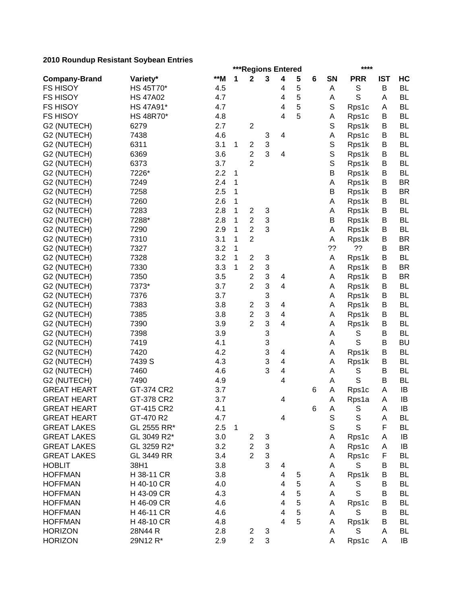|                      |                 |     | ***Regions Entered<br>**** |                         |                           |                         |   |   |             |             |            |           |  |
|----------------------|-----------------|-----|----------------------------|-------------------------|---------------------------|-------------------------|---|---|-------------|-------------|------------|-----------|--|
| <b>Company-Brand</b> | Variety*        | **M | 1                          | $\mathbf 2$             | 3                         | $\overline{\mathbf{4}}$ | 5 | 6 | SN          | <b>PRR</b>  | <b>IST</b> | HC        |  |
| <b>FS HISOY</b>      | HS 45T70*       | 4.5 |                            |                         |                           | 4                       | 5 |   | Α           | S           | B          | <b>BL</b> |  |
| <b>FS HISOY</b>      | <b>HS 47A02</b> | 4.7 |                            |                         |                           | 4                       | 5 |   | Α           | S           | A          | <b>BL</b> |  |
| <b>FS HISOY</b>      | HS 47A91*       | 4.7 |                            |                         |                           | 4                       | 5 |   | $\mathbb S$ | Rps1c       | A          | <b>BL</b> |  |
| <b>FS HISOY</b>      | HS 48R70*       | 4.8 |                            |                         |                           | $\overline{\mathbf{4}}$ | 5 |   | Α           | Rps1c       | B          | <b>BL</b> |  |
| G2 (NUTECH)          | 6279            | 2.7 |                            | $\boldsymbol{2}$        |                           |                         |   |   | S           | Rps1k       | B          | <b>BL</b> |  |
| G2 (NUTECH)          | 7438            | 4.6 |                            |                         | 3                         | $\overline{\mathbf{4}}$ |   |   | Α           | Rps1c       | B          | <b>BL</b> |  |
| G2 (NUTECH)          | 6311            | 3.1 | 1                          | $\overline{\mathbf{c}}$ | $\ensuremath{\mathsf{3}}$ |                         |   |   | $\mathbb S$ | Rps1k       | B          | <b>BL</b> |  |
| G2 (NUTECH)          | 6369            | 3.6 |                            | $\overline{c}$          | 3                         | 4                       |   |   | $\mathbb S$ | Rps1k       | B          | <b>BL</b> |  |
| G2 (NUTECH)          | 6373            | 3.7 |                            | $\overline{2}$          |                           |                         |   |   | $\mathbb S$ | Rps1k       | B          | <b>BL</b> |  |
| G2 (NUTECH)          | 7226*           | 2.2 | 1                          |                         |                           |                         |   |   | Β           | Rps1k       | В          | <b>BL</b> |  |
| G2 (NUTECH)          | 7249            | 2.4 | 1                          |                         |                           |                         |   |   | Α           | Rps1k       | В          | <b>BR</b> |  |
| G2 (NUTECH)          | 7258            | 2.5 | 1                          |                         |                           |                         |   |   | B           | Rps1k       | В          | <b>BR</b> |  |
| G2 (NUTECH)          | 7260            | 2.6 | 1                          |                         |                           |                         |   |   | Α           | Rps1k       | В          | <b>BL</b> |  |
| G2 (NUTECH)          | 7283            | 2.8 | 1                          | $\overline{\mathbf{c}}$ | 3                         |                         |   |   | Α           | Rps1k       | В          | <b>BL</b> |  |
| G2 (NUTECH)          | 7288*           | 2.8 | 1                          | $\overline{c}$          | 3                         |                         |   |   | B           | Rps1k       | B          | <b>BL</b> |  |
| G2 (NUTECH)          | 7290            | 2.9 | 1                          | $\overline{c}$          | 3                         |                         |   |   | Α           | Rps1k       | B          | <b>BL</b> |  |
| G2 (NUTECH)          | 7310            | 3.1 | 1                          | $\overline{2}$          |                           |                         |   |   | Α           | Rps1k       | B          | <b>BR</b> |  |
| G2 (NUTECH)          | 7327            | 3.2 | 1                          |                         |                           |                         |   |   | ??          | ??          | B          | <b>BR</b> |  |
| G2 (NUTECH)          | 7328            | 3.2 | 1                          | $\overline{c}$          | 3                         |                         |   |   | Α           | Rps1k       | B          | <b>BL</b> |  |
| G2 (NUTECH)          | 7330            | 3.3 | 1                          | $\overline{c}$          | $\ensuremath{\mathsf{3}}$ |                         |   |   | Α           |             | B          | <b>BR</b> |  |
|                      | 7350            | 3.5 |                            | $\overline{c}$          | $\ensuremath{\mathsf{3}}$ | $\overline{\mathbf{4}}$ |   |   |             | Rps1k       | B          | <b>BR</b> |  |
| G2 (NUTECH)          |                 |     |                            | $\overline{c}$          | 3                         | 4                       |   |   | Α           | Rps1k       |            |           |  |
| G2 (NUTECH)          | 7373*           | 3.7 |                            |                         |                           |                         |   |   | Α           | Rps1k       | B          | <b>BL</b> |  |
| G2 (NUTECH)          | 7376            | 3.7 |                            |                         | 3<br>3                    |                         |   |   | Α           | Rps1k       | B          | <b>BL</b> |  |
| G2 (NUTECH)          | 7383            | 3.8 |                            | 2                       |                           | $\overline{\mathbf{4}}$ |   |   | Α           | Rps1k       | B          | <b>BL</b> |  |
| G2 (NUTECH)          | 7385            | 3.8 |                            | $\overline{c}$          | 3                         | $\overline{\mathbf{4}}$ |   |   | Α           | Rps1k       | B          | <b>BL</b> |  |
| G2 (NUTECH)          | 7390            | 3.9 |                            | $\overline{2}$          | 3                         | $\overline{4}$          |   |   | Α           | Rps1k       | В          | BL        |  |
| G2 (NUTECH)          | 7398            | 3.9 |                            |                         | 3                         |                         |   |   | A           | S           | B          | <b>BL</b> |  |
| G2 (NUTECH)          | 7419            | 4.1 |                            |                         | 3                         |                         |   |   | Α           | $\mathbb S$ | B          | <b>BU</b> |  |
| G2 (NUTECH)          | 7420            | 4.2 |                            |                         | 3                         | 4                       |   |   | Α           | Rps1k       | B          | <b>BL</b> |  |
| G2 (NUTECH)          | 7439 S          | 4.3 |                            |                         | 3                         | 4                       |   |   | Α           | Rps1k       | В          | <b>BL</b> |  |
| G2 (NUTECH)          | 7460            | 4.6 |                            |                         | 3                         | 4                       |   |   | А           | S           | B          | <b>BL</b> |  |
| G2 (NUTECH)          | 7490            | 4.9 |                            |                         |                           | 4                       |   |   | Α           | S           | B          | <b>BL</b> |  |
| <b>GREAT HEART</b>   | GT-374 CR2      | 3.7 |                            |                         |                           |                         |   | 6 | Α           | Rps1c       | A          | IB        |  |
| <b>GREAT HEART</b>   | GT-378 CR2      | 3.7 |                            |                         |                           | 4                       |   |   | Α           | Rps1a       | A          | IB        |  |
| <b>GREAT HEART</b>   | GT-415 CR2      | 4.1 |                            |                         |                           |                         |   | 6 | Α           | S           | A          | IB        |  |
| <b>GREAT HEART</b>   | GT-470 R2       | 4.7 |                            |                         |                           | 4                       |   |   | $\mathbb S$ | $\mathbb S$ | A          | <b>BL</b> |  |
| <b>GREAT LAKES</b>   | GL 2555 RR*     | 2.5 | $\mathbf{1}$               |                         |                           |                         |   |   | $\mathsf S$ | S           | F          | <b>BL</b> |  |
| <b>GREAT LAKES</b>   | GL 3049 R2*     | 3.0 |                            | 2                       | 3                         |                         |   |   | Α           | Rps1c       | A          | IB        |  |
| <b>GREAT LAKES</b>   | GL 3259 R2*     | 3.2 |                            | $\mathbf{2}$            | $\ensuremath{\mathsf{3}}$ |                         |   |   | Α           | Rps1c       | Α          | IB        |  |
| <b>GREAT LAKES</b>   | GL 3449 RR      | 3.4 |                            | $\overline{2}$          | 3                         |                         |   |   | A           | Rps1c       | F          | <b>BL</b> |  |
| <b>HOBLIT</b>        | 38H1            | 3.8 |                            |                         | 3                         | 4                       |   |   | Α           | S           | B          | <b>BL</b> |  |
| <b>HOFFMAN</b>       | H 38-11 CR      | 3.8 |                            |                         |                           | 4                       | 5 |   | Α           | Rps1k       | B          | <b>BL</b> |  |
| <b>HOFFMAN</b>       | H 40-10 CR      | 4.0 |                            |                         |                           | 4                       | 5 |   | Α           | S           | B          | BL        |  |
| <b>HOFFMAN</b>       | H 43-09 CR      | 4.3 |                            |                         |                           | 4                       | 5 |   | A           | $\mathsf S$ | В          | <b>BL</b> |  |
| <b>HOFFMAN</b>       | H 46-09 CR      | 4.6 |                            |                         |                           | 4                       | 5 |   | A           | Rps1c       | В          | <b>BL</b> |  |
| <b>HOFFMAN</b>       | H 46-11 CR      | 4.6 |                            |                         |                           | 4                       | 5 |   | A           | S           | В          | <b>BL</b> |  |
| <b>HOFFMAN</b>       | H 48-10 CR      | 4.8 |                            |                         |                           | 4                       | 5 |   | A           | Rps1k       | B          | <b>BL</b> |  |
| <b>HORIZON</b>       | 28N44 R         | 2.8 |                            | $\overline{\mathbf{c}}$ | 3                         |                         |   |   | A           | $\mathbb S$ | Α          | <b>BL</b> |  |
| <b>HORIZON</b>       | 29N12 R*        | 2.9 |                            | $\overline{2}$          | 3                         |                         |   |   | A           | Rps1c       | A          | IB        |  |
|                      |                 |     |                            |                         |                           |                         |   |   |             |             |            |           |  |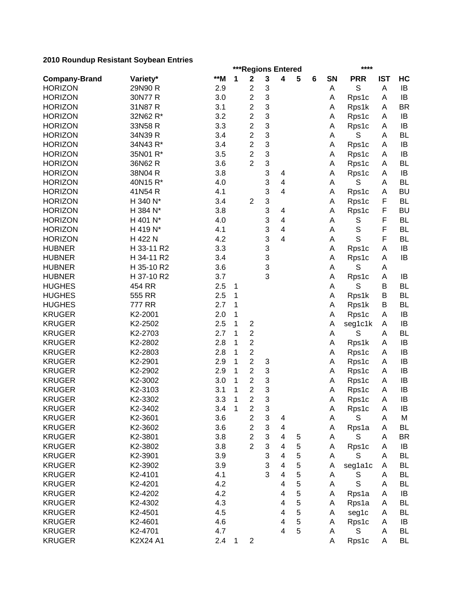|                      | ***Regions Entered<br>**** |       |              |                         |                           |                         |   |   |    |             |            |           |
|----------------------|----------------------------|-------|--------------|-------------------------|---------------------------|-------------------------|---|---|----|-------------|------------|-----------|
| <b>Company-Brand</b> | Variety*                   | $**M$ | 1            | $\mathbf 2$             | 3                         | 4                       | 5 | 6 | SN | <b>PRR</b>  | <b>IST</b> | HC        |
| <b>HORIZON</b>       | 29N90 R                    | 2.9   |              | $\overline{c}$          | 3                         |                         |   |   | A  | S           | A          | IB        |
| <b>HORIZON</b>       | 30N77 R                    | 3.0   |              | $\overline{2}$          | 3                         |                         |   |   | Α  | Rps1c       | A          | IB        |
| <b>HORIZON</b>       | 31N87 R                    | 3.1   |              | $\overline{c}$          | 3                         |                         |   |   | Α  | Rps1k       | A          | <b>BR</b> |
| <b>HORIZON</b>       | 32N62 R*                   | 3.2   |              | $\overline{2}$          | 3                         |                         |   |   | Α  | Rps1c       | A          | IB        |
| <b>HORIZON</b>       | 33N58 R                    | 3.3   |              | $\overline{c}$          | 3                         |                         |   |   | Α  | Rps1c       | Α          | IB        |
| <b>HORIZON</b>       | 34N39 R                    | 3.4   |              | $\overline{c}$          | 3                         |                         |   |   | A  | S           | A          | <b>BL</b> |
| <b>HORIZON</b>       | 34N43 R*                   | 3.4   |              | $\overline{c}$          | 3                         |                         |   |   | Α  | Rps1c       | A          | IB        |
| <b>HORIZON</b>       | 35N01 R*                   | 3.5   |              | $\overline{2}$          | 3                         |                         |   |   | Α  | Rps1c       | A          | IB        |
| <b>HORIZON</b>       | 36N62 R                    | 3.6   |              | $\overline{2}$          | 3                         |                         |   |   | Α  | Rps1c       | A          | <b>BL</b> |
| <b>HORIZON</b>       | 38N04 R                    | 3.8   |              |                         | 3                         | 4                       |   |   | A  | Rps1c       | A          | IB        |
| <b>HORIZON</b>       | 40N15 R*                   | 4.0   |              |                         | 3                         | 4                       |   |   | A  | S           | A          | <b>BL</b> |
| <b>HORIZON</b>       | 41N54 R                    | 4.1   |              |                         | 3                         | 4                       |   |   | Α  | Rps1c       | A          | <b>BU</b> |
| <b>HORIZON</b>       | H 340 N*                   | 3.4   |              | $\overline{2}$          | 3                         |                         |   |   | Α  | Rps1c       | F          | <b>BL</b> |
| <b>HORIZON</b>       | H 384 N*                   | 3.8   |              |                         | 3                         | 4                       |   |   | A  | Rps1c       | F          | <b>BU</b> |
| <b>HORIZON</b>       | H 401 N*                   | 4.0   |              |                         | 3                         | $\overline{4}$          |   |   | A  | S           | F          | <b>BL</b> |
| <b>HORIZON</b>       | H 419 N*                   | 4.1   |              |                         | 3                         | 4                       |   |   | Α  | S           | F          | <b>BL</b> |
| <b>HORIZON</b>       | H 422 N                    | 4.2   |              |                         | 3                         | 4                       |   |   | Α  | S           | F          | <b>BL</b> |
|                      | H 33-11 R2                 | 3.3   |              |                         | 3                         |                         |   |   |    |             |            |           |
| <b>HUBNER</b>        |                            |       |              |                         |                           |                         |   |   | Α  | Rps1c       | A          | IB        |
| <b>HUBNER</b>        | H 34-11 R2                 | 3.4   |              |                         | 3                         |                         |   |   | Α  | Rps1c       | A          | IB        |
| <b>HUBNER</b>        | H 35-10 R2                 | 3.6   |              |                         | 3                         |                         |   |   | Α  | S           | Α          |           |
| <b>HUBNER</b>        | H 37-10 R2                 | 3.7   |              |                         | 3                         |                         |   |   | Α  | Rps1c       | A          | IB        |
| <b>HUGHES</b>        | 454 RR                     | 2.5   | 1            |                         |                           |                         |   |   | Α  | S           | B          | <b>BL</b> |
| <b>HUGHES</b>        | 555 RR                     | 2.5   | 1            |                         |                           |                         |   |   | Α  | Rps1k       | B          | <b>BL</b> |
| <b>HUGHES</b>        | 777 RR                     | 2.7   | 1            |                         |                           |                         |   |   | Α  | Rps1k       | B          | BL        |
| <b>KRUGER</b>        | K2-2001                    | 2.0   | 1            |                         |                           |                         |   |   | A  | Rps1c       | A          | IB        |
| <b>KRUGER</b>        | K2-2502                    | 2.5   | 1            | $\overline{\mathbf{c}}$ |                           |                         |   |   | Α  | seg1c1k     | A          | IB        |
| <b>KRUGER</b>        | K2-2703                    | 2.7   | 1            | $\overline{c}$          |                           |                         |   |   | A  | S           | A          | <b>BL</b> |
| <b>KRUGER</b>        | K2-2802                    | 2.8   | 1            | $\overline{c}$          |                           |                         |   |   | Α  | Rps1k       | A          | IB        |
| <b>KRUGER</b>        | K2-2803                    | 2.8   | 1            | $\overline{2}$          |                           |                         |   |   | A  | Rps1c       | A          | IB        |
| <b>KRUGER</b>        | K2-2901                    | 2.9   | 1            | $\overline{c}$          | 3                         |                         |   |   | Α  | Rps1c       | A          | IB        |
| <b>KRUGER</b>        | K2-2902                    | 2.9   | 1            | $\overline{c}$          | 3                         |                         |   |   | A  | Rps1c       | A          | IB        |
| <b>KRUGER</b>        | K2-3002                    | 3.0   | 1            | $\overline{\mathbf{c}}$ | 3                         |                         |   |   | Α  | Rps1c       | A          | IB        |
| <b>KRUGER</b>        | K2-3103                    | 3.1   | 1            | $\overline{c}$          | 3                         |                         |   |   | Α  | Rps1c       | A          | IB        |
| <b>KRUGER</b>        | K2-3302                    | 3.3   | 1            | $\overline{c}$          | 3                         |                         |   |   | Α  | Rps1c       | A          | IB        |
| <b>KRUGER</b>        | K2-3402                    | 3.4   | $\mathbf{1}$ | $\mathbf{2}$            | 3                         |                         |   |   | A  | Rps1c       | A          | IB        |
| <b>KRUGER</b>        | K2-3601                    | 3.6   |              | $\overline{\mathbf{c}}$ | $\ensuremath{\mathsf{3}}$ | 4                       |   |   | Α  | S           | A          | Μ         |
| <b>KRUGER</b>        | K2-3602                    | 3.6   |              | $\overline{c}$          | 3                         | 4                       |   |   | Α  | Rps1a       | A          | <b>BL</b> |
| <b>KRUGER</b>        | K2-3801                    | 3.8   |              | $\overline{c}$          | 3                         | $\overline{\mathbf{4}}$ | 5 |   | Α  | S           | A          | <b>BR</b> |
| <b>KRUGER</b>        | K2-3802                    | 3.8   |              | $\overline{2}$          | 3                         | 4                       | 5 |   | Α  | Rps1c       | A          | IB        |
| <b>KRUGER</b>        | K2-3901                    | 3.9   |              |                         | 3                         | $\overline{4}$          | 5 |   | A  | S           | A          | <b>BL</b> |
| <b>KRUGER</b>        | K2-3902                    | 3.9   |              |                         | 3                         | 4                       | 5 |   | Α  | seg1a1c     | Α          | <b>BL</b> |
| <b>KRUGER</b>        | K2-4101                    | 4.1   |              |                         | 3                         | 4                       | 5 |   | A  | S           | A          | <b>BL</b> |
| <b>KRUGER</b>        | K2-4201                    | 4.2   |              |                         |                           | 4                       | 5 |   | Α  | $\mathbb S$ | A          | <b>BL</b> |
| <b>KRUGER</b>        | K2-4202                    | 4.2   |              |                         |                           | 4                       | 5 |   | Α  | Rps1a       | A          | IB        |
| <b>KRUGER</b>        | K2-4302                    | 4.3   |              |                         |                           | 4                       | 5 |   | Α  | Rps1a       | A          | <b>BL</b> |
| <b>KRUGER</b>        | K2-4501                    | 4.5   |              |                         |                           | 4                       | 5 |   | A  | seg1c       | A          | <b>BL</b> |
| <b>KRUGER</b>        | K2-4601                    | 4.6   |              |                         |                           | 4                       | 5 |   | A  | Rps1c       | A          | IB        |
| <b>KRUGER</b>        | K2-4701                    | 4.7   |              |                         |                           | 4                       | 5 |   | A  | S           | A          | <b>BL</b> |
| <b>KRUGER</b>        | K2X24 A1                   | 2.4   | 1            | $\boldsymbol{2}$        |                           |                         |   |   | A  | Rps1c       | A          | <b>BL</b> |
|                      |                            |       |              |                         |                           |                         |   |   |    |             |            |           |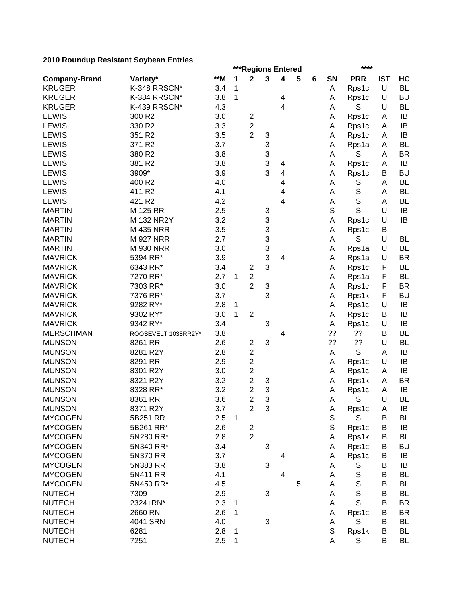|                                 | ***Regions Entered<br>**** |     |              |                                           |   |   |   |   |                  |                      |             |           |
|---------------------------------|----------------------------|-----|--------------|-------------------------------------------|---|---|---|---|------------------|----------------------|-------------|-----------|
| <b>Company-Brand</b>            | Variety*                   | **M | 1            | $\mathbf 2$                               | 3 | 4 | 5 | 6 | SN               | <b>PRR</b>           | <b>IST</b>  | HC        |
| <b>KRUGER</b>                   | K-348 RRSCN*               | 3.4 | 1            |                                           |   |   |   |   | Α                | Rps1c                | U           | <b>BL</b> |
| <b>KRUGER</b>                   | K-384 RRSCN*               | 3.8 | 1            |                                           |   | 4 |   |   | A                | Rps1c                | U           | <b>BU</b> |
| <b>KRUGER</b>                   | K-439 RRSCN*               | 4.3 |              |                                           |   | 4 |   |   | Α                | S                    | U           | <b>BL</b> |
| <b>LEWIS</b>                    | 300 R2                     | 3.0 |              | $\overline{\mathbf{c}}$                   |   |   |   |   | Α                | Rps1c                | A           | IB        |
| <b>LEWIS</b>                    | 330 R2                     | 3.3 |              | $\overline{c}$                            |   |   |   |   | Α                | Rps1c                | A           | IB        |
| <b>LEWIS</b>                    | 351 R2                     | 3.5 |              | $\overline{2}$                            | 3 |   |   |   | Α                | Rps1c                | A           | IB        |
| <b>LEWIS</b>                    | 371 R2                     | 3.7 |              |                                           | 3 |   |   |   | Α                | Rps1a                | A           | <b>BL</b> |
| <b>LEWIS</b>                    | 380 R2                     | 3.8 |              |                                           | 3 |   |   |   | A                | S                    | A           | <b>BR</b> |
| <b>LEWIS</b>                    | 381 R2                     | 3.8 |              |                                           | 3 | 4 |   |   | Α                | Rps1c                | A           | IB        |
| <b>LEWIS</b>                    | 3909*                      | 3.9 |              |                                           | 3 | 4 |   |   | Α                | Rps1c                | B           | <b>BU</b> |
| <b>LEWIS</b>                    | 400 R2                     | 4.0 |              |                                           |   | 4 |   |   | A                | S                    | A           | <b>BL</b> |
| <b>LEWIS</b>                    | 411 R2                     | 4.1 |              |                                           |   | 4 |   |   | A                | S                    | A           | <b>BL</b> |
| <b>LEWIS</b>                    | 421 R2                     | 4.2 |              |                                           |   | 4 |   |   | Α                | S                    | A           | <b>BL</b> |
| <b>MARTIN</b>                   | M 125 RR                   | 2.5 |              |                                           | 3 |   |   |   | S                | S                    | U           | IB        |
| <b>MARTIN</b>                   | M 132 NR2Y                 | 3.2 |              |                                           | 3 |   |   |   | A                | Rps1c                | U           | IB        |
| <b>MARTIN</b>                   | M 435 NRR                  | 3.5 |              |                                           | 3 |   |   |   | Α                | Rps1c                | B           |           |
| <b>MARTIN</b>                   | <b>M 927 NRR</b>           | 2.7 |              |                                           | 3 |   |   |   | A                | S                    | U           | <b>BL</b> |
| <b>MARTIN</b>                   | <b>M 930 NRR</b>           | 3.0 |              |                                           | 3 |   |   |   | Α                | Rps1a                | U           | <b>BL</b> |
| <b>MAVRICK</b>                  | 5394 RR*                   | 3.9 |              |                                           | 3 | 4 |   |   | Α                | Rps1a                | U           | <b>BR</b> |
| <b>MAVRICK</b>                  | 6343 RR*                   | 3.4 |              | $\overline{\mathbf{c}}$                   | 3 |   |   |   | Α                | Rps1c                | F           | <b>BL</b> |
| <b>MAVRICK</b>                  | 7270 RR*                   | 2.7 | 1            | $\overline{c}$                            |   |   |   |   | Α                | Rps1a                | F           | <b>BL</b> |
| <b>MAVRICK</b>                  | 7303 RR*                   | 3.0 |              | $\overline{c}$                            | 3 |   |   |   | Α                | Rps1c                | $\mathsf F$ | <b>BR</b> |
| <b>MAVRICK</b>                  | 7376 RR*                   | 3.7 |              |                                           | 3 |   |   |   | Α                | Rps1k                | F           | <b>BU</b> |
| <b>MAVRICK</b>                  | 9282 RY*                   | 2.8 | 1            |                                           |   |   |   |   | Α                | Rps1c                | U           | IB        |
| <b>MAVRICK</b>                  | 9302 RY*                   | 3.0 | 1            | $\overline{2}$                            |   |   |   |   | А                | Rps1c                | В           | IB        |
| <b>MAVRICK</b>                  | 9342 RY*                   | 3.4 |              |                                           | 3 |   |   |   | Α                | Rps1c                | U           | IB        |
| <b>MERSCHMAN</b>                | ROOSEVELT 1038RR2Y*        | 3.8 |              |                                           |   | 4 |   |   | ??               | 22                   | В           | <b>BL</b> |
| <b>MUNSON</b>                   | 8261 RR                    | 2.6 |              | $\overline{\mathbf{c}}$                   | 3 |   |   |   | ??               | ??                   | U           | <b>BL</b> |
| <b>MUNSON</b>                   | 8281 R2Y                   | 2.8 |              | $\mathbf{2}$                              |   |   |   |   | A                | S                    | Α           | IB        |
| <b>MUNSON</b>                   | 8291 RR                    | 2.9 |              | $\overline{c}$                            |   |   |   |   | Α                | Rps1c                | U           | IB        |
| <b>MUNSON</b>                   | 8301 R2Y                   | 3.0 |              | $\overline{\mathbf{c}}$                   |   |   |   |   | Α                | Rps1c                | A           | IB        |
| <b>MUNSON</b>                   | 8321 R2Y                   | 3.2 |              | $\overline{c}$                            | 3 |   |   |   | Α                | Rps1k                | A           | <b>BR</b> |
| <b>MUNSON</b>                   | 8328 RR*                   | 3.2 |              | $\overline{\mathbf{c}}$                   | 3 |   |   |   | Α                | Rps1c                | A           | IB        |
| <b>MUNSON</b>                   | 8361 RR                    | 3.6 |              | $\overline{2}$                            | 3 |   |   |   | A                | S                    | U           | <b>BL</b> |
|                                 | 8371 R2Y                   | 3.7 |              | $\overline{c}$                            | 3 |   |   |   |                  |                      |             | $\sf IB$  |
| <b>MUNSON</b><br><b>MYCOGEN</b> |                            |     | $\mathbf{1}$ |                                           |   |   |   |   | A                | Rps1c<br>$\mathbb S$ | A           |           |
|                                 | 5B251 RR                   | 2.5 |              |                                           |   |   |   |   | $\mathbb S$<br>S |                      | B<br>B      | BL        |
| <b>MYCOGEN</b>                  | 5B261 RR*                  | 2.6 |              | $\overline{\mathbf{c}}$<br>$\overline{2}$ |   |   |   |   |                  | Rps1c                |             | IB        |
| <b>MYCOGEN</b>                  | 5N280 RR*                  | 2.8 |              |                                           |   |   |   |   | Α                | Rps1k                | B           | <b>BL</b> |
| <b>MYCOGEN</b>                  | 5N340 RR*                  | 3.4 |              |                                           | 3 |   |   |   | Α                | Rps1c                | В           | <b>BU</b> |
| <b>MYCOGEN</b>                  | 5N370 RR                   | 3.7 |              |                                           |   | 4 |   |   | Α                | Rps1c                | В           | IB        |
| <b>MYCOGEN</b>                  | 5N383 RR                   | 3.8 |              |                                           | 3 |   |   |   | A                | S                    | B           | IB        |
| <b>MYCOGEN</b>                  | 5N411 RR                   | 4.1 |              |                                           |   | 4 |   |   | A                | S                    | B           | <b>BL</b> |
| <b>MYCOGEN</b>                  | 5N450 RR*                  | 4.5 |              |                                           |   |   | 5 |   | А                | S                    | B           | <b>BL</b> |
| <b>NUTECH</b>                   | 7309                       | 2.9 |              |                                           | 3 |   |   |   | A                | S                    | B           | <b>BL</b> |
| <b>NUTECH</b>                   | 2324+RN*                   | 2.3 | 1            |                                           |   |   |   |   | Α                | S                    | B           | <b>BR</b> |
| <b>NUTECH</b>                   | 2660 RN                    | 2.6 | 1            |                                           |   |   |   |   | Α                | Rps1c                | В           | <b>BR</b> |
| <b>NUTECH</b>                   | 4041 SRN                   | 4.0 |              |                                           | 3 |   |   |   | А                | S                    | В           | <b>BL</b> |
| <b>NUTECH</b>                   | 6281                       | 2.8 | 1            |                                           |   |   |   |   | S                | Rps1k                | В           | <b>BL</b> |
| <b>NUTECH</b>                   | 7251                       | 2.5 | 1            |                                           |   |   |   |   | Α                | S                    | B           | BL        |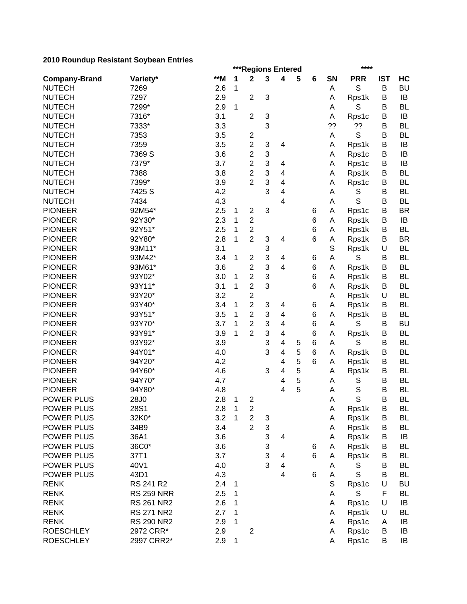|                      |                   |     |              | ***Regions Entered      |                           | ****                    |   |        |             |             |            |           |
|----------------------|-------------------|-----|--------------|-------------------------|---------------------------|-------------------------|---|--------|-------------|-------------|------------|-----------|
| <b>Company-Brand</b> | Variety*          | **M | 1            | $\mathbf 2$             | 3                         | 4                       | 5 | 6      | SN          | <b>PRR</b>  | <b>IST</b> | HC        |
| <b>NUTECH</b>        | 7269              | 2.6 | 1            |                         |                           |                         |   |        | Α           | S           | B          | <b>BU</b> |
| <b>NUTECH</b>        | 7297              | 2.9 |              | $\overline{2}$          | 3                         |                         |   |        | Α           | Rps1k       | B          | IB        |
| <b>NUTECH</b>        | 7299*             | 2.9 | 1            |                         |                           |                         |   |        | Α           | S           | B          | <b>BL</b> |
| <b>NUTECH</b>        | 7316*             | 3.1 |              | $\overline{2}$          | $\ensuremath{\mathsf{3}}$ |                         |   |        | A           | Rps1c       | B          | IB        |
| <b>NUTECH</b>        | 7333*             | 3.3 |              |                         | 3                         |                         |   |        | ??          | ??          | B          | <b>BL</b> |
| <b>NUTECH</b>        | 7353              | 3.5 |              | $\overline{\mathbf{c}}$ |                           |                         |   |        | A           | S           | B          | <b>BL</b> |
| <b>NUTECH</b>        | 7359              | 3.5 |              | $\overline{c}$          | 3                         | 4                       |   |        | Α           | Rps1k       | B          | IB        |
| <b>NUTECH</b>        | 7369 S            | 3.6 |              | $\overline{c}$          | 3                         |                         |   |        | A           | Rps1c       | B          | IB        |
| <b>NUTECH</b>        | 7379*             | 3.7 |              | $\overline{c}$          | 3                         | 4                       |   |        | Α           | Rps1c       | B          | IB        |
| <b>NUTECH</b>        | 7388              | 3.8 |              | 2                       | 3                         | 4                       |   |        | A           | Rps1k       | B          | <b>BL</b> |
| <b>NUTECH</b>        | 7399*             | 3.9 |              | 2                       | 3                         | 4                       |   |        | Α           | Rps1c       | B          | <b>BL</b> |
| <b>NUTECH</b>        | 7425 S            | 4.2 |              |                         | 3                         | 4                       |   |        | A           | S           | В          | <b>BL</b> |
| <b>NUTECH</b>        | 7434              | 4.3 |              |                         |                           | 4                       |   |        | A           | S           | B          | <b>BL</b> |
| <b>PIONEER</b>       | 92M54*            | 2.5 | 1            | $\boldsymbol{2}$        | 3                         |                         |   | 6      | A           | Rps1c       | В          | <b>BR</b> |
| <b>PIONEER</b>       | 92Y30*            | 2.3 | 1            | $\overline{c}$          |                           |                         |   | 6      | A           | Rps1k       | В          | IB        |
| <b>PIONEER</b>       | 92Y51*            | 2.5 | 1            | $\overline{\mathbf{c}}$ |                           |                         |   | 6      | A           | Rps1k       | B          | <b>BL</b> |
| <b>PIONEER</b>       | 92Y80*            | 2.8 | 1            | $\overline{2}$          | $\ensuremath{\mathsf{3}}$ | 4                       |   | 6      | А           | Rps1k       | B          | <b>BR</b> |
| <b>PIONEER</b>       | 93M11*            | 3.1 |              |                         | 3                         |                         |   |        | $\mathbb S$ | Rps1k       | U          | <b>BL</b> |
| <b>PIONEER</b>       | 93M42*            | 3.4 | 1            | $\mathbf{2}$            | 3                         | 4                       |   | 6      | A           | S           | B          | <b>BL</b> |
| <b>PIONEER</b>       | 93M61*            | 3.6 |              | $\overline{c}$          | 3                         | 4                       |   | 6      | Α           | Rps1k       | B          | <b>BL</b> |
| <b>PIONEER</b>       | 93Y02*            | 3.0 | 1            | $\overline{c}$          | 3                         |                         |   | 6      | Α           | Rps1k       | B          | <b>BL</b> |
| <b>PIONEER</b>       | 93Y11*            | 3.1 | 1            | $\overline{c}$          | 3                         |                         |   | 6      | Α           | Rps1k       | B          | <b>BL</b> |
| <b>PIONEER</b>       | 93Y20*            | 3.2 |              | $\overline{c}$          |                           |                         |   |        | Α           | Rps1k       | U          | <b>BL</b> |
| <b>PIONEER</b>       | 93Y40*            | 3.4 | 1            | $\overline{c}$          | 3                         | 4                       |   |        | A           | Rps1k       | B          | <b>BL</b> |
| <b>PIONEER</b>       | 93Y51*            | 3.5 | 1            | $\overline{2}$          | 3                         | $\overline{\mathbf{4}}$ |   | 6<br>6 | A           |             | B          | <b>BL</b> |
| <b>PIONEER</b>       |                   | 3.7 |              | $\overline{c}$          | 3                         |                         |   |        |             | Rps1k<br>S  |            | <b>BU</b> |
|                      | 93Y70*            |     | 1            |                         |                           | $\overline{\mathbf{4}}$ |   | 6      | A           |             | B          |           |
| <b>PIONEER</b>       | 93Y91*            | 3.9 | 1            | $\overline{2}$          | 3                         | 4                       |   | 6      | Α           | Rps1k       | B          | <b>BL</b> |
| <b>PIONEER</b>       | 93Y92*            | 3.9 |              |                         | 3                         | 4                       | 5 | 6      | A           | S           | B          | <b>BL</b> |
| <b>PIONEER</b>       | 94Y01*            | 4.0 |              |                         | 3                         | 4                       | 5 | 6      | Α           | Rps1k       | B          | <b>BL</b> |
| <b>PIONEER</b>       | 94Y20*            | 4.2 |              |                         |                           | 4                       | 5 | 6      | A           | Rps1k       | B          | <b>BL</b> |
| <b>PIONEER</b>       | 94Y60*            | 4.6 |              |                         | 3                         | 4                       | 5 |        | Α           | Rps1k       | B          | <b>BL</b> |
| <b>PIONEER</b>       | 94Y70*            | 4.7 |              |                         |                           | 4                       | 5 |        | Α           | S           | B          | <b>BL</b> |
| <b>PIONEER</b>       | 94Y80*            | 4.8 |              |                         |                           | 4                       | 5 |        | Α           | S           | B          | <b>BL</b> |
| <b>POWER PLUS</b>    | 28J0              | 2.8 | 1            | $\overline{\mathbf{c}}$ |                           |                         |   |        | A           | S           | B          | <b>BL</b> |
| POWER PLUS           | 28S1              | 2.8 | $\mathbf{1}$ | $\boldsymbol{2}$        |                           |                         |   |        | А           | Rps1k       | B          | BL        |
| POWER PLUS           | 32K0*             | 3.2 | 1            | $\overline{c}$          | 3                         |                         |   |        | Α           | Rps1k       | B          | BL        |
| <b>POWER PLUS</b>    | 34B9              | 3.4 |              | $\overline{2}$          | $\ensuremath{\mathsf{3}}$ |                         |   |        | A           | Rps1k       | B          | <b>BL</b> |
| <b>POWER PLUS</b>    | 36A1              | 3.6 |              |                         | 3                         | 4                       |   |        | Α           | Rps1k       | B          | IB        |
| POWER PLUS           | 36C0*             | 3.6 |              |                         | 3                         |                         |   | 6      | Α           | Rps1k       | B          | BL        |
| POWER PLUS           | 37T1              | 3.7 |              |                         | 3                         | 4                       |   | 6      | Α           | Rps1k       | B          | <b>BL</b> |
| POWER PLUS           | 40V1              | 4.0 |              |                         | 3                         | 4                       |   |        | A           | S           | B          | BL        |
| <b>POWER PLUS</b>    | 43D1              | 4.3 |              |                         |                           | $\overline{\mathbf{4}}$ |   | 6      | A           | $\mathsf S$ | B          | <b>BL</b> |
| <b>RENK</b>          | RS 241 R2         | 2.4 | 1            |                         |                           |                         |   |        | $\mathbb S$ | Rps1c       | U          | <b>BU</b> |
| <b>RENK</b>          | <b>RS 259 NRR</b> | 2.5 | 1            |                         |                           |                         |   |        | Α           | S           | F          | <b>BL</b> |
| <b>RENK</b>          | <b>RS 261 NR2</b> | 2.6 | 1            |                         |                           |                         |   |        | A           | Rps1c       | U          | IB        |
| <b>RENK</b>          | <b>RS 271 NR2</b> | 2.7 | 1            |                         |                           |                         |   |        | Α           | Rps1k       | U          | <b>BL</b> |
| <b>RENK</b>          | <b>RS 290 NR2</b> | 2.9 | 1            |                         |                           |                         |   |        | Α           | Rps1c       | A          | IB        |
| <b>ROESCHLEY</b>     | 2972 CRR*         | 2.9 |              | $\mathbf{2}$            |                           |                         |   |        | A           | Rps1c       | В          | IB        |
| <b>ROESCHLEY</b>     | 2997 CRR2*        | 2.9 | 1            |                         |                           |                         |   |        | A           | Rps1c       | B          | IB        |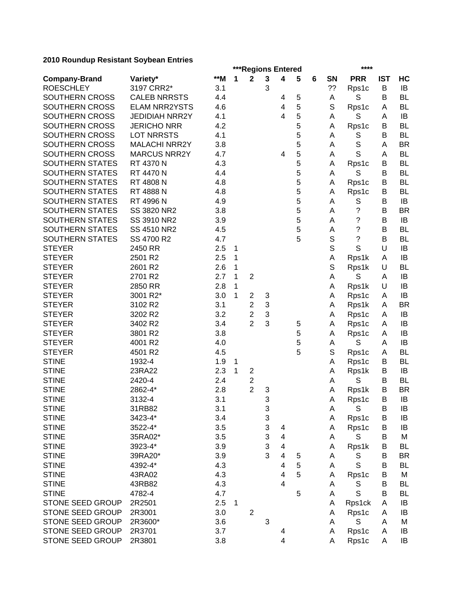|                         | ***Regions Entered<br>**** |       |   |                         |   |                         |   |   |             |                          |            |           |
|-------------------------|----------------------------|-------|---|-------------------------|---|-------------------------|---|---|-------------|--------------------------|------------|-----------|
| <b>Company-Brand</b>    | Variety*                   | $**M$ | 1 | $\mathbf{2}$            | 3 | 4                       | 5 | 6 | <b>SN</b>   | <b>PRR</b>               | <b>IST</b> | HC        |
| <b>ROESCHLEY</b>        | 3197 CRR2*                 | 3.1   |   |                         | 3 |                         |   |   | ??          | Rps1c                    | B          | IB        |
| SOUTHERN CROSS          | <b>CALEB NRRSTS</b>        | 4.4   |   |                         |   | 4                       | 5 |   | A           | S                        | B          | <b>BL</b> |
| SOUTHERN CROSS          | <b>ELAM NRR2YSTS</b>       | 4.6   |   |                         |   | 4                       | 5 |   | S           | Rps1c                    | A          | <b>BL</b> |
| SOUTHERN CROSS          | <b>JEDIDIAH NRR2Y</b>      | 4.1   |   |                         |   | 4                       | 5 |   | A           | S                        | A          | IB        |
| SOUTHERN CROSS          | <b>JERICHO NRR</b>         | 4.2   |   |                         |   |                         | 5 |   | Α           | Rps1c                    | B          | <b>BL</b> |
| SOUTHERN CROSS          | <b>LOT NRRSTS</b>          | 4.1   |   |                         |   |                         | 5 |   | A           | S                        | B          | <b>BL</b> |
| SOUTHERN CROSS          | <b>MALACHI NRR2Y</b>       | 3.8   |   |                         |   |                         | 5 |   | A           | S                        | A          | <b>BR</b> |
| SOUTHERN CROSS          | <b>MARCUS NRR2Y</b>        | 4.7   |   |                         |   | 4                       | 5 |   | Α           | S                        | A          | <b>BL</b> |
| <b>SOUTHERN STATES</b>  | RT 4370 N                  | 4.3   |   |                         |   |                         | 5 |   | A           | Rps1c                    | B          | <b>BL</b> |
| <b>SOUTHERN STATES</b>  | RT 4470 N                  | 4.4   |   |                         |   |                         | 5 |   | A           | S                        | В          | <b>BL</b> |
| <b>SOUTHERN STATES</b>  | RT 4808 N                  | 4.8   |   |                         |   |                         | 5 |   | A           | Rps1c                    | B          | <b>BL</b> |
| <b>SOUTHERN STATES</b>  | RT 4888 N                  | 4.8   |   |                         |   |                         | 5 |   | Α           | Rps1c                    | B          | <b>BL</b> |
| <b>SOUTHERN STATES</b>  | RT 4996 N                  | 4.9   |   |                         |   |                         | 5 |   | A           | S                        | B          | IB        |
| <b>SOUTHERN STATES</b>  | SS 3820 NR2                | 3.8   |   |                         |   |                         | 5 |   | A           | ?                        | В          | <b>BR</b> |
| <b>SOUTHERN STATES</b>  | SS 3910 NR2                | 3.9   |   |                         |   |                         | 5 |   | A           | ?                        | B          | IB        |
| SOUTHERN STATES         | SS 4510 NR2                | 4.5   |   |                         |   |                         | 5 |   | А           | $\overline{\mathcal{C}}$ | B          | <b>BL</b> |
| SOUTHERN STATES         | SS 4700 R2                 | 4.7   |   |                         |   |                         | 5 |   | $\mathbb S$ | $\tilde{?}$              | B          | <b>BL</b> |
| <b>STEYER</b>           | 2450 RR                    | 2.5   | 1 |                         |   |                         |   |   | $\mathbb S$ | S                        | U          | IB        |
| <b>STEYER</b>           | 2501 R2                    | 2.5   | 1 |                         |   |                         |   |   | Α           | Rps1k                    | A          | IB        |
| <b>STEYER</b>           | 2601 R2                    | 2.6   | 1 |                         |   |                         |   |   | $\mathbb S$ | Rps1k                    | U          | <b>BL</b> |
| <b>STEYER</b>           | 2701 R2                    | 2.7   | 1 | $\boldsymbol{2}$        |   |                         |   |   | Α           | $\mathbb S$              | Α          | IB        |
| <b>STEYER</b>           | 2850 RR                    | 2.8   | 1 |                         |   |                         |   |   | Α           | Rps1k                    | U          | IB        |
| <b>STEYER</b>           | 3001 R2*                   | 3.0   | 1 | $\overline{\mathbf{c}}$ | 3 |                         |   |   | Α           | Rps1c                    | A          | IB        |
| <b>STEYER</b>           | 3102 R2                    | 3.1   |   | $\overline{2}$          | 3 |                         |   |   | Α           | Rps1k                    | A          | <b>BR</b> |
| <b>STEYER</b>           | 3202 R2                    | 3.2   |   | $\overline{\mathbf{c}}$ | 3 |                         |   |   | Α           | Rps1c                    | A          | IB        |
| <b>STEYER</b>           | 3402 R2                    | 3.4   |   | $\overline{2}$          | 3 |                         | 5 |   | A           | Rps1c                    | A          | IB        |
| <b>STEYER</b>           | 3801 R2                    | 3.8   |   |                         |   |                         | 5 |   | A           | Rps1c                    | A          | IB        |
| <b>STEYER</b>           | 4001 R2                    | 4.0   |   |                         |   |                         | 5 |   | Α           | S                        | A          | IB        |
| <b>STEYER</b>           | 4501 R2                    | 4.5   |   |                         |   |                         | 5 |   | S           | Rps1c                    | A          | <b>BL</b> |
| <b>STINE</b>            | 1932-4                     | 1.9   | 1 |                         |   |                         |   |   | Α           | Rps1c                    | B          | <b>BL</b> |
| <b>STINE</b>            | 23RA22                     | 2.3   | 1 | $\overline{\mathbf{c}}$ |   |                         |   |   | A           | Rps1k                    | B          | IB        |
| <b>STINE</b>            | 2420-4                     | 2.4   |   | $\overline{\mathbf{c}}$ |   |                         |   |   | A           | S                        | B          | <b>BL</b> |
| <b>STINE</b>            | 2862-4*                    | 2.8   |   | $\overline{2}$          | 3 |                         |   |   | Α           | Rps1k                    | B          | <b>BR</b> |
| <b>STINE</b>            | 3132-4                     | 3.1   |   |                         | 3 |                         |   |   | Α           | Rps1c                    | B          | IB        |
| <b>STINE</b>            | 31RB82                     | 3.1   |   |                         | 3 |                         |   |   | A           | $\mathbb S$              | B          | IB        |
| <b>STINE</b>            | 3423-4*                    | 3.4   |   |                         | 3 |                         |   |   | Α           | Rps1c                    | B          | IB        |
| <b>STINE</b>            | 3522-4*                    | 3.5   |   |                         | 3 | 4                       |   |   | Α           | Rps1c                    | B          | IB        |
| <b>STINE</b>            | 35RA02*                    | 3.5   |   |                         | 3 | $\overline{\mathbf{4}}$ |   |   | A           | S                        | B          | M         |
| <b>STINE</b>            | 3923-4*                    | 3.9   |   |                         | 3 | 4                       |   |   | Α           | Rps1k                    | B          | <b>BL</b> |
| <b>STINE</b>            | 39RA20*                    | 3.9   |   |                         | 3 | 4                       | 5 |   | A           | S                        | B          | <b>BR</b> |
| <b>STINE</b>            | 4392-4*                    | 4.3   |   |                         |   | 4                       | 5 |   | А           | S                        | B          | BL        |
| <b>STINE</b>            | 43RA02                     | 4.3   |   |                         |   | 4                       | 5 |   | Α           |                          | В          | M         |
| <b>STINE</b>            | 43RB82                     | 4.3   |   |                         |   | 4                       |   |   | Α           | Rps1c<br>S               | B          | <b>BL</b> |
| <b>STINE</b>            | 4782-4                     | 4.7   |   |                         |   |                         | 5 |   | Α           | S                        | B          | <b>BL</b> |
| STONE SEED GROUP        | 2R2501                     | 2.5   |   |                         |   |                         |   |   |             |                          | A          | IB        |
| STONE SEED GROUP        | 2R3001                     | 3.0   | 1 | $\overline{c}$          |   |                         |   |   | Α<br>А      | Rps1ck                   |            | IB        |
| <b>STONE SEED GROUP</b> | 2R3600*                    | 3.6   |   |                         | 3 |                         |   |   | A           | Rps1c<br>$\mathbb S$     | Α<br>A     | M         |
| STONE SEED GROUP        |                            | 3.7   |   |                         |   |                         |   |   |             |                          | A          | IB        |
|                         | 2R3701                     |       |   |                         |   | 4                       |   |   | Α           | Rps1c                    |            |           |
| STONE SEED GROUP        | 2R3801                     | 3.8   |   |                         |   | 4                       |   |   | Α           | Rps1c                    | A          | IB        |